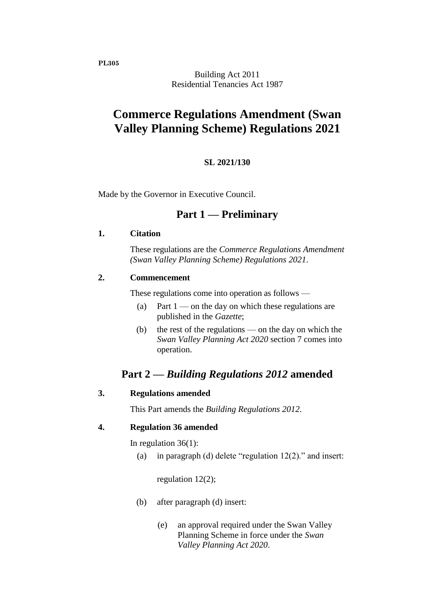**PL305**

Building Act 2011 Residential Tenancies Act 1987

# **Commerce Regulations Amendment (Swan Valley Planning Scheme) Regulations 2021**

#### **SL 2021/130**

Made by the Governor in Executive Council.

## **Part 1 — Preliminary**

#### **1. Citation**

These regulations are the *Commerce Regulations Amendment (Swan Valley Planning Scheme) Regulations 2021*.

#### **2. Commencement**

These regulations come into operation as follows —

- (a) Part  $1$  on the day on which these regulations are published in the *Gazette*;
- (b) the rest of the regulations on the day on which the *Swan Valley Planning Act 2020* section 7 comes into operation.

# **Part 2 —** *Building Regulations 2012* **amended**

#### **3. Regulations amended**

This Part amends the *Building Regulations 2012*.

#### **4. Regulation 36 amended**

In regulation 36(1):

(a) in paragraph (d) delete "regulation  $12(2)$ ." and insert:

regulation 12(2);

- (b) after paragraph (d) insert:
	- (e) an approval required under the Swan Valley Planning Scheme in force under the *Swan Valley Planning Act 2020*.